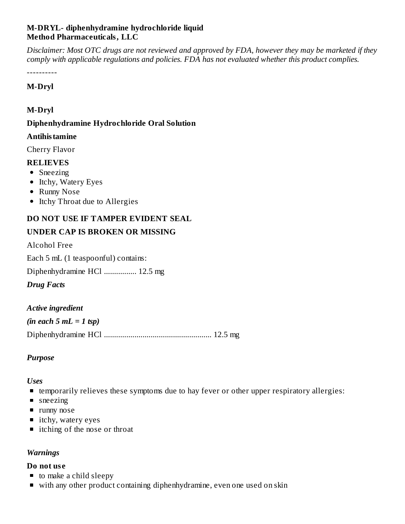# **M-DRYL- diphenhydramine hydrochloride liquid Method Pharmaceuticals, LLC**

Disclaimer: Most OTC drugs are not reviewed and approved by FDA, however they may be marketed if they *comply with applicable regulations and policies. FDA has not evaluated whether this product complies.*

----------

#### **M-Dryl**

# **M-Dryl**

# **Diphenhydramine Hydrochloride Oral Solution**

#### **Antihistamine**

Cherry Flavor

# **RELIEVES**

- Sneezing
- Itchy, Watery Eyes
- Runny Nose
- Itchy Throat due to Allergies

# **DO NOT USE IF TAMPER EVIDENT SEAL**

# **UNDER CAP IS BROKEN OR MISSING**

Alcohol Free

Each 5 mL (1 teaspoonful) contains:

Diphenhydramine HCl ................ 12.5 mg

# *Drug Facts*

# *Active ingredient*

*(in each 5 mL = 1 tsp)* Diphenhydramine HCl ..................................................... 12.5 mg

# *Purpose*

# *Uses*

- temporarily relieves these symptoms due to hay fever or other upper respiratory allergies:
- sneezing
- **runny nose**
- itchy, watery eyes
- itching of the nose or throat

# *Warnings*

#### **Do not us e**

- to make a child sleepy
- with any other product containing diphenhydramine, even one used on skin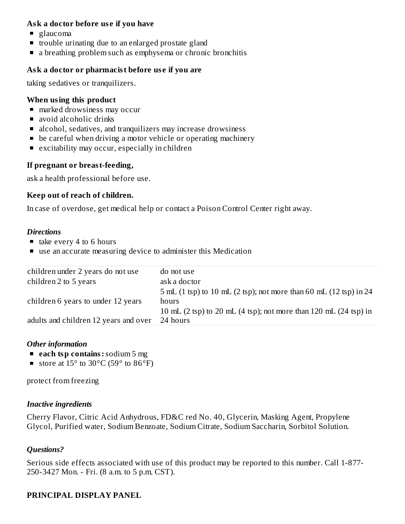#### **Ask a doctor before us e if you have**

- glaucoma
- **the trouble urinating due to an enlarged prostate gland**
- a breathing problem such as emphysema or chronic bronchitis  $\blacksquare$

#### **Ask a doctor or pharmacist before us e if you are**

taking sedatives or tranquilizers.

#### **When using this product**

- $\blacksquare$  marked drowsiness may occur
- avoid alcoholic drinks
- alcohol, sedatives, and tranquilizers may increase drowsiness
- **•** be careful when driving a motor vehicle or operating machinery
- excitability may occur, especially in children

#### **If pregnant or breast-feeding,**

ask a health professional before use.

#### **Keep out of reach of children.**

In case of overdose, get medical help or contact a Poison Control Center right away.

#### *Directions*

- $\blacksquare$  take every 4 to 6 hours
- use an accurate measuring device to administer this Medication

| children under 2 years do not use     | do not use                                                                                      |
|---------------------------------------|-------------------------------------------------------------------------------------------------|
| children 2 to 5 years                 | ask a doctor                                                                                    |
|                                       | $5$ mL (1 tsp) to 10 mL (2 tsp); not more than 60 mL (12 tsp) in 24                             |
| children 6 years to under 12 years    | hours                                                                                           |
|                                       | 10 mL $(2 \text{ tsp})$ to 20 mL $(4 \text{ tsp})$ ; not more than 120 mL $(24 \text{ tsp})$ in |
| adults and children 12 years and over | 24 hours                                                                                        |

#### *Other information*

- **each tsp contains:**sodium 5 mg
- store at  $15^{\circ}$  to  $30^{\circ}$ C (59 $^{\circ}$  to  $86^{\circ}$ F)

protect from freezing

#### *Inactive ingredients*

Cherry Flavor, Citric Acid Anhydrous, FD&C red No. 40, Glycerin, Masking Agent, Propylene Glycol, Purified water, Sodium Benzoate, Sodium Citrate, Sodium Saccharin, Sorbitol Solution.

#### *Questions?*

Serious side effects associated with use of this product may be reported to this number. Call 1-877- 250-3427 Mon. - Fri. (8 a.m. to 5 p.m. CST).

#### **PRINCIPAL DISPLAY PANEL**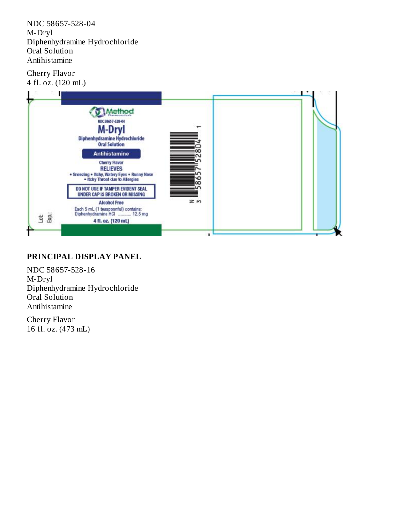NDC 58657-528-04 M-Dryl Diphenhydramine Hydrochloride Oral Solution Antihistamine

Cherry Flavor



#### **PRINCIPAL DISPLAY PANEL**

NDC 58657-528-16 M-Dryl Diphenhydramine Hydrochloride Oral Solution Antihistamine

Cherry Flavor 16 fl. oz. (473 mL)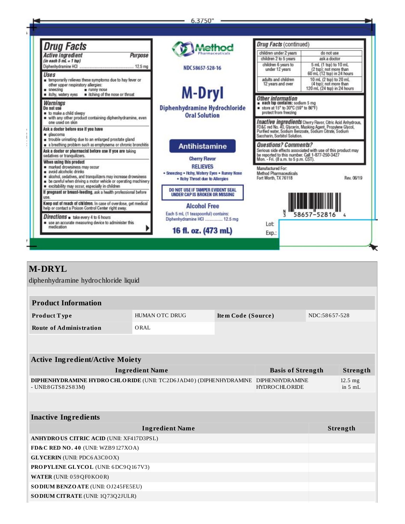#### 6.3750"

►

| <b>Drug Facts</b>                                                                                                                                                                                                                                                       | <b>Method</b>                                                                                                              | <b>Drug Facts (continued)</b>                                                                                                                                                                                         |                                                                                                               |  |
|-------------------------------------------------------------------------------------------------------------------------------------------------------------------------------------------------------------------------------------------------------------------------|----------------------------------------------------------------------------------------------------------------------------|-----------------------------------------------------------------------------------------------------------------------------------------------------------------------------------------------------------------------|---------------------------------------------------------------------------------------------------------------|--|
| Purpose<br>Active ingredient                                                                                                                                                                                                                                            |                                                                                                                            | children under 2 years<br>children 2 to 5 years                                                                                                                                                                       | azu ton ob<br>ask a doctor                                                                                    |  |
| $(in each 5 mL = 1 tsp)$                                                                                                                                                                                                                                                | NDC 58657-528-16                                                                                                           | children 6 years to<br>under 12 years                                                                                                                                                                                 | 5 ml. (1 tsp) to 10 ml.<br>(2 tsp); not more than                                                             |  |
| <b>Uses</b><br>temporarily relieves these symptoms due to hay fever or<br>other upper respiratory allergies:<br>sneezing<br><b>E</b> runny nose<br>itchy, watery eyes itching of the nose or throat                                                                     | <b>M-Dryl</b>                                                                                                              | adults and children<br>12 years and over                                                                                                                                                                              | 60 mL (12 tsp) in 24 hours<br>10 mL (2 tsp) to 20 mL<br>(4 tsp); not more than<br>120 mL (24 tsp) in 24 hours |  |
| Warnings<br>Do not use<br>to make a child sleepy<br>with any other product containing diphenhydramine, even                                                                                                                                                             | Diphenhydramine Hydrochloride<br><b>Oral Solution</b>                                                                      | <b>Other information</b><br>a each tsp contains: sodium 5 mg<br>store at 15° to 30°C (59° to 86°F)<br>protect from freezing                                                                                           |                                                                                                               |  |
| one used on skin<br>Ask a doctor before use if you have<br>a glaucoma<br>trouble urinating due to an enlarged prostate gland                                                                                                                                            |                                                                                                                            | Inactive ingredients Cherry Flavor, Citric Acid Anhydrous,<br>FD&C red No. 40, Glycerin, Masking Agent, Propylene Glycol,<br>Purified water, Sodium Benzoate, Sodium Citrate, Sodium<br>Saccharin, Sorbitol Solution. |                                                                                                               |  |
| a a breathing problem such as emphysema or chronic bronchitis                                                                                                                                                                                                           | <b>Antihistamine</b>                                                                                                       | <b>Questions? Comments?</b>                                                                                                                                                                                           |                                                                                                               |  |
| Ask a doctor or pharmacist before use if you are taking<br>sedatives or tranquilizers.                                                                                                                                                                                  |                                                                                                                            | be reported to this number. Call 1-877-250-3427                                                                                                                                                                       | Serious side effects associated with use of this product may                                                  |  |
| When using this product<br>marked drowsiness may occur<br>a avoid alcoholic drinks<br>alcohol, sedatives, and tranquilizers may increase drowsiness<br>be careful when driving a motor vehicle or operating machinery<br>excitability may occur, especially in children | <b>Cherry Flavor</b><br><b>RELIEVES</b><br>• Sneezing • Itchy, Watery Eyes • Runny Nose<br>. Itchy Throat due to Allergies | Mon. - Fri. (8 a.m. to 5 p.m. CST).<br>Manufactured For:<br>Method Pharmaceuticals<br>Fort Worth, TX 76118                                                                                                            | Rev. 06/19                                                                                                    |  |
| If pregnant or breast-feeding, ask a health professional before<br>use.                                                                                                                                                                                                 | DO NOT USE IF TAMPER EVIDENT SEAL<br>UNDER CAP IS BROKEN OR MISSING                                                        |                                                                                                                                                                                                                       |                                                                                                               |  |
| Keep out of reach of children. In case of overdose, get medical<br>help or contact a Poison Control Center right away.                                                                                                                                                  | <b>Alcohol Free</b>                                                                                                        |                                                                                                                                                                                                                       |                                                                                                               |  |
| <b>Directions</b> $\blacksquare$ take every 4 to 6 hours<br>use an accurate measuring device to administer this                                                                                                                                                         | Each 5 mL (1 teaspoonful) contains:<br>Diphenhydramine HCI  12.5 mg                                                        | Lot                                                                                                                                                                                                                   | 58657-52816                                                                                                   |  |
| medication                                                                                                                                                                                                                                                              | 16 fl. oz. (473 mL)                                                                                                        | Exp.:                                                                                                                                                                                                                 |                                                                                                               |  |

# **M-DRYL**

| diphenhydramine hydrochloride liquid                                                                                                |                       |                    |  |               |                                |
|-------------------------------------------------------------------------------------------------------------------------------------|-----------------------|--------------------|--|---------------|--------------------------------|
|                                                                                                                                     |                       |                    |  |               |                                |
| <b>Product Information</b>                                                                                                          |                       |                    |  |               |                                |
| <b>Product Type</b>                                                                                                                 | <b>HUMAN OTC DRUG</b> | Item Code (Source) |  | NDC:58657-528 |                                |
| <b>Route of Administration</b>                                                                                                      | ORAL                  |                    |  |               |                                |
|                                                                                                                                     |                       |                    |  |               |                                |
|                                                                                                                                     |                       |                    |  |               |                                |
| <b>Active Ingredient/Active Moiety</b>                                                                                              |                       |                    |  |               |                                |
| <b>Ingredient Name</b><br><b>Basis of Strength</b>                                                                                  |                       |                    |  |               | Strength                       |
| DIPHENHYDRAMINE HYDRO CHLORIDE (UNII: TC2D6JAD40) (DIPHENHYDRAMINE<br><b>DIPHENHYDRAMINE</b><br>- UNII:8GTS82S83M)<br>HYDROCHLORIDE |                       |                    |  |               | $12.5$ mg<br>in $5 \text{ mL}$ |
|                                                                                                                                     |                       |                    |  |               |                                |
| <b>Inactive Ingredients</b>                                                                                                         |                       |                    |  |               |                                |
|                                                                                                                                     |                       |                    |  |               |                                |
| <b>Ingredient Name</b>                                                                                                              |                       |                    |  | Strength      |                                |
| <b>ANHYDROUS CITRIC ACID (UNII: XF417D3PSL)</b>                                                                                     |                       |                    |  |               |                                |
| FD&C RED NO. 40 (UNII: WZB9127XOA)                                                                                                  |                       |                    |  |               |                                |
| <b>GLYCERIN</b> (UNII: PDC6A3C0OX)                                                                                                  |                       |                    |  |               |                                |
| PROPYLENE GLYCOL (UNII: 6DC9Q167V3)                                                                                                 |                       |                    |  |               |                                |
| WATER (UNII: 059 QF0 KO0 R)                                                                                                         |                       |                    |  |               |                                |
| SODIUM BENZOATE (UNII: OJ245FE5EU)<br><b>SODIUM CITRATE (UNII: 1Q73Q2JULR)</b>                                                      |                       |                    |  |               |                                |
|                                                                                                                                     |                       |                    |  |               |                                |